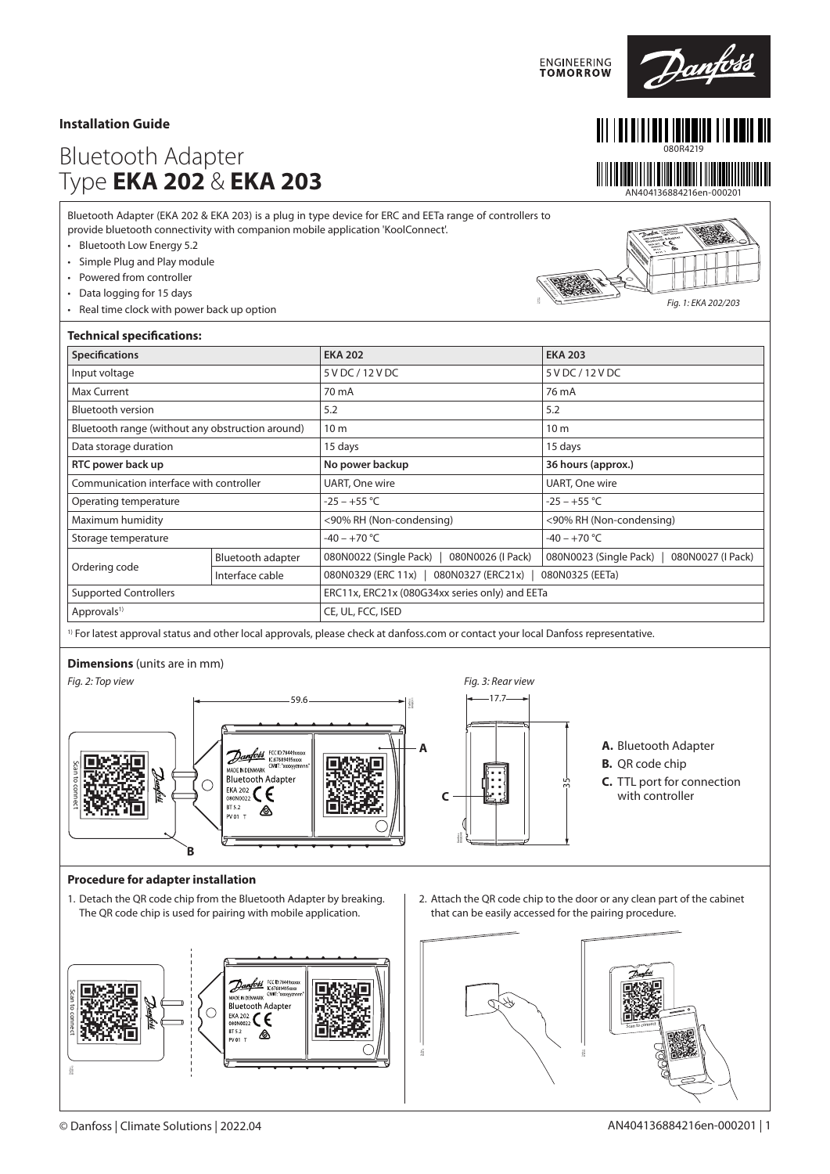## **Installation Guide**

# Bluetooth Adapter Type **EKA 202** & **EKA 203**

Bluetooth Adapter (EKA 202 & EKA 203) is a plug in type device for ERC and EETa range of controllers to provide bluetooth connectivity with companion mobile application 'KoolConnect'.

- Bluetooth Low Energy 5.2
- Simple Plug and Play module
- Powered from controller
- Data logging for 15 days
- Real time clock with power back up option

| ŗΟ |                                                                                                                                                                                                                                                                                                                                                            |
|----|------------------------------------------------------------------------------------------------------------------------------------------------------------------------------------------------------------------------------------------------------------------------------------------------------------------------------------------------------------|
|    | $\label{eq:optimal} \begin{picture}(180,10) \put(0,0){\line(1,0){100}} \put(0,0){\line(1,0){100}} \put(0,0){\line(1,0){100}} \put(0,0){\line(1,0){100}} \put(0,0){\line(1,0){100}} \put(0,0){\line(1,0){100}} \put(0,0){\line(1,0){100}} \put(0,0){\line(1,0){100}} \put(0,0){\line(1,0){100}} \put(0,0){\line(1,0){100}} \put(0,0){\line(1,0){100}} \put$ |
|    | $\sqrt{\omega_{\rm{eff}}}\sim$                                                                                                                                                                                                                                                                                                                             |
|    |                                                                                                                                                                                                                                                                                                                                                            |

**ENGINEERING**<br>TOMORROW

080R4219

Danfoss

AN404136884216en-000201

<u> HERRI HANDI HANDI HANDI HAN</u>

*Fig. 1: EKA 202/203*

| <b>Technical specifications:</b>                 |                   |                                                              |                                             |  |  |  |
|--------------------------------------------------|-------------------|--------------------------------------------------------------|---------------------------------------------|--|--|--|
| <b>Specifications</b>                            |                   | <b>EKA 202</b>                                               | <b>EKA 203</b>                              |  |  |  |
| Input voltage                                    |                   | 5 V DC / 12 V DC                                             | 5 V DC / 12 V DC                            |  |  |  |
| <b>Max Current</b>                               |                   | 70 mA                                                        | 76 mA                                       |  |  |  |
| <b>Bluetooth version</b>                         |                   | 5.2                                                          | 5.2                                         |  |  |  |
| Bluetooth range (without any obstruction around) |                   | 10 <sub>m</sub>                                              | 10 <sub>m</sub>                             |  |  |  |
| Data storage duration                            |                   | 15 days                                                      | 15 days                                     |  |  |  |
| RTC power back up                                |                   | No power backup                                              | 36 hours (approx.)                          |  |  |  |
| Communication interface with controller          |                   | UART, One wire                                               | UART, One wire                              |  |  |  |
| Operating temperature                            |                   | $-25 - +55$ °C                                               | $-25 - +55$ °C                              |  |  |  |
| Maximum humidity                                 |                   | <90% RH (Non-condensing)                                     | <90% RH (Non-condensing)                    |  |  |  |
| Storage temperature                              |                   | $-40 - +70$ °C                                               | $-40 - +70$ °C                              |  |  |  |
| Ordering code                                    | Bluetooth adapter | 080N0022 (Single Pack)<br>080N0026 (I Pack)                  | 080N0023 (Single Pack)<br>080N0027 (I Pack) |  |  |  |
|                                                  | Interface cable   | 080N0329 (ERC 11x)  <br>080N0327 (ERC21x)<br>080N0325 (EETa) |                                             |  |  |  |
| <b>Supported Controllers</b>                     |                   | ERC11x, ERC21x (080G34xx series only) and EETa               |                                             |  |  |  |
| Approvals <sup>1)</sup>                          |                   | CE, UL, FCC, ISED                                            |                                             |  |  |  |

<sup>1)</sup> For latest approval status and other local approvals, please check at danfoss.com or contact your local Danfoss representative.

### **Dimensions** (units are in mm)



#### **Procedure for adapter installation**

The QR code chip is used for pairing with mobile application.



2. Attach the QR code chip to the door or any clean part of the cabinet that can be easily accessed for the pairing procedure.